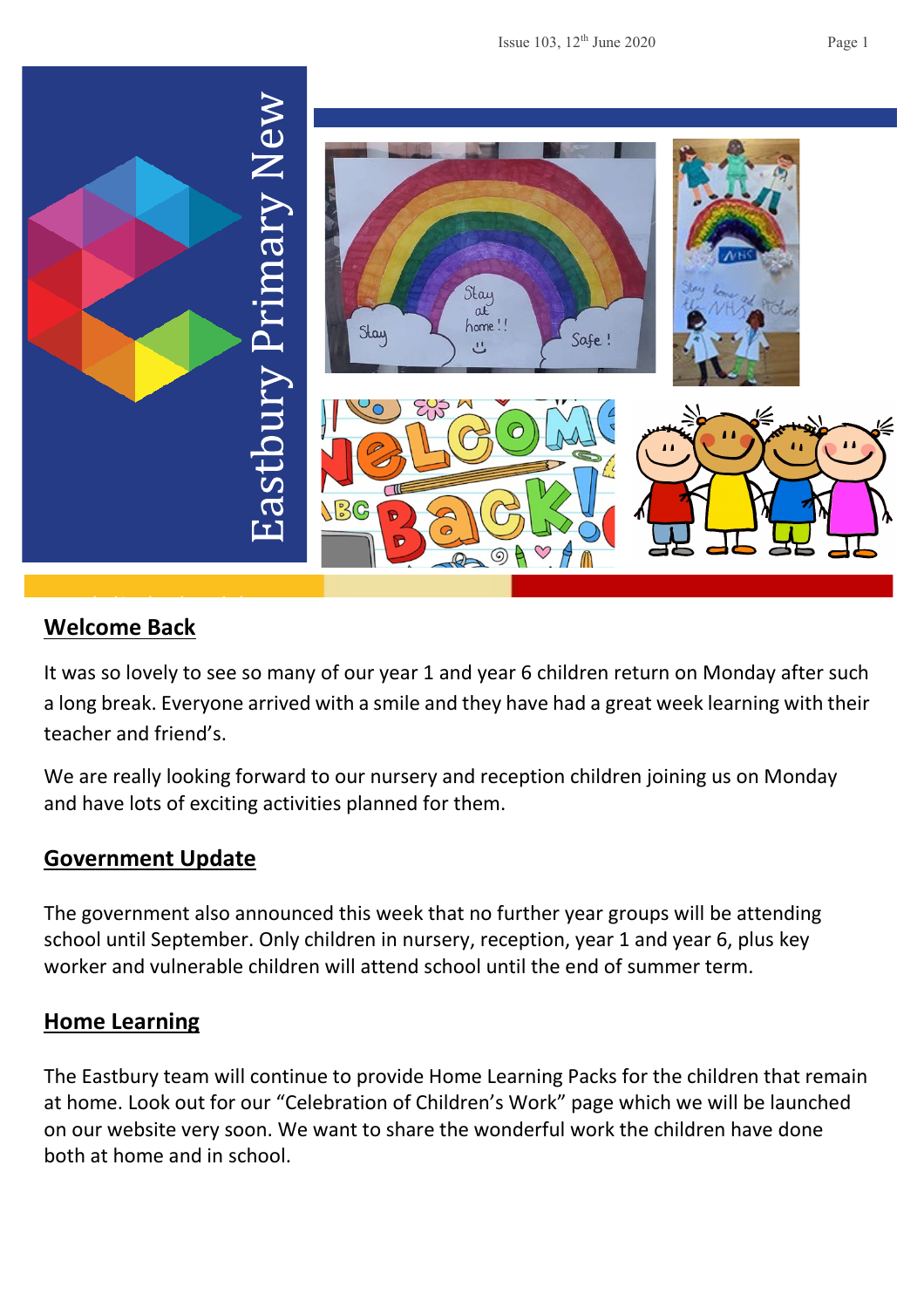

## **Welcome Back**

It was so lovely to see so many of our year 1 and year 6 children return on Monday after such a long break. Everyone arrived with a smile and they have had a great week learning with their teacher and friend's.

We are really looking forward to our nursery and reception children joining us on Monday and have lots of exciting activities planned for them.

#### **Government Update**

The government also announced this week that no further year groups will be attending school until September. Only children in nursery, reception, year 1 and year 6, plus key worker and vulnerable children will attend school until the end of summer term.

#### **Home Learning**

The Eastbury team will continue to provide Home Learning Packs for the children that remain at home. Look out for our "Celebration of Children's Work" page which we will be launched on our website very soon. We want to share the wonderful work the children have done both at home and in school.